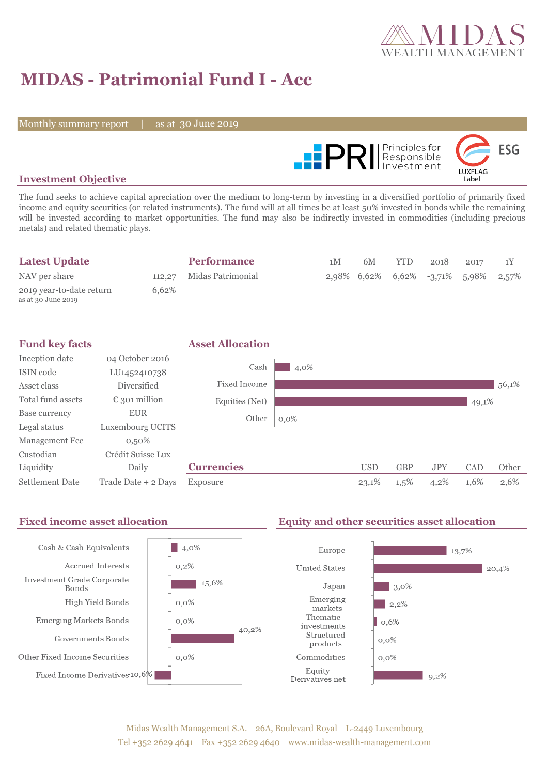

# **MIDAS - Patrimonial Fund I - Acc**

Monthly summary report

as at 30 June 2019



### **Investment Objective**

The fund seeks to achieve capital apreciation over the medium to long-term by investing in a diversified portfolio of primarily fixed income and equity securities (or related instruments). The fund will at all times be at least 50% invested in bonds while the remaining will be invested according to market opportunities. The fund may also be indirectly invested in commodities (including precious metals) and related thematic plays.

| <b>Latest Update</b>                           |       | <b>Performance</b>       | 1 <sub>M</sub> | 6M | YTD. | 2018                                         | 2017 |  |
|------------------------------------------------|-------|--------------------------|----------------|----|------|----------------------------------------------|------|--|
| NAV per share                                  |       | 112,27 Midas Patrimonial |                |    |      | $2,98\%$ 6,62\% 6,62\% -3,71\% 5,98\% 2,57\% |      |  |
| 2019 year-to-date return<br>as at 30 June 2019 | 6.62% |                          |                |    |      |                                              |      |  |

| <b>Fund key facts</b>  |                        | <b>Asset Allocation</b> |         |            |            |            |       |       |
|------------------------|------------------------|-------------------------|---------|------------|------------|------------|-------|-------|
| Inception date         | 04 October 2016        |                         |         |            |            |            |       |       |
| ISIN code              | LU1452410738           | Cash                    | 4,0%    |            |            |            |       |       |
| Asset class            | Diversified            | <b>Fixed Income</b>     |         |            |            |            |       | 56,1% |
| Total fund assets      | $\epsilon$ 301 million | Equities (Net)          |         |            |            |            | 49,1% |       |
| Base currency          | <b>EUR</b>             | Other                   | $0,0\%$ |            |            |            |       |       |
| Legal status           | Luxembourg UCITS       |                         |         |            |            |            |       |       |
| Management Fee         | $0,50\%$               |                         |         |            |            |            |       |       |
| Custodian              | Crédit Suisse Lux      |                         |         |            |            |            |       |       |
| Liquidity              | Daily                  | <b>Currencies</b>       |         | <b>USD</b> | <b>GBP</b> | <b>JPY</b> | CAD   | Other |
| <b>Settlement Date</b> | Trade Date + 2 Days    | Exposure                |         | 23,1%      | 1,5%       | 4,2%       | 1,6%  | 2,6%  |

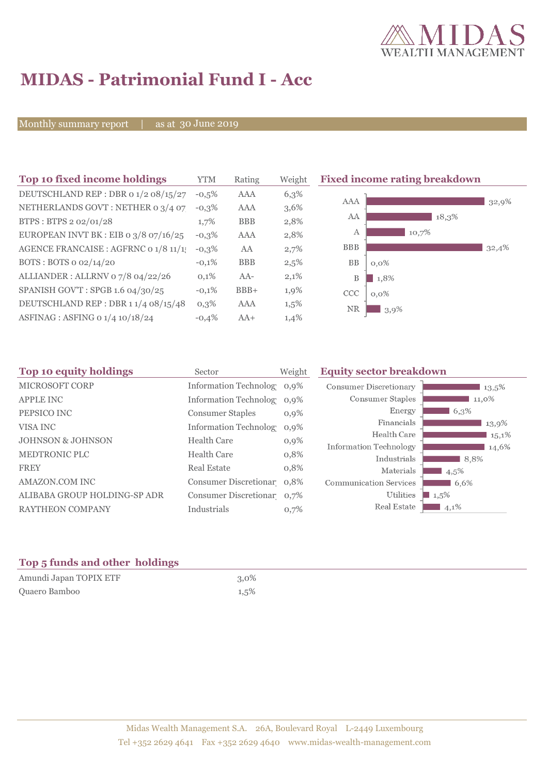

# **MIDAS - Patrimonial Fund I - Acc**

Monthly summary report

30 June 2019

| Top 10 fixed income holdings          | YTM     | Rating     | Weigh |
|---------------------------------------|---------|------------|-------|
| DEUTSCHLAND REP : DBR 0 1/2 08/15/27  | $-0.5%$ | AAA        | 6,3%  |
| NETHERLANDS GOVT: NETHER 0 3/4 07     | $-0.3%$ | AAA        | 3,6%  |
| BTPS: BTPS 2 02/01/28                 | 1,7%    | <b>BBB</b> | 2,8%  |
| EUROPEAN INVT BK : EIB o 3/8 07/16/25 | $-0,3%$ | AAA        | 2,8%  |
| AGENCE FRANCAISE : AGFRNC 0 1/8 11/1! | $-0,3%$ | AA         | 2,7%  |
| BOTS: BOTS 0 02/14/20                 | $-0.1%$ | <b>BBB</b> | 2,5%  |
| ALLIANDER: ALLRNV 07/8 04/22/26       | 0,1%    | $AA-$      | 2,1%  |
| SPANISH GOV'T: SPGB 1.6 04/30/25      | $-0.1%$ | $BBB+$     | 1,9%  |
| DEUTSCHLAND REP: DBR 11/4 08/15/48    | $0.3\%$ | AAA        | 1,5%  |
| ASFINAG : ASFING 0 1/4 10/18/24       | $-0.4%$ | $AA+$      | 1,4%  |

**Fixed income rating breakdown** 



| Sector                  | Weight                                   | <b>Equity sector breakdown</b>                                                                                                                                        |         |
|-------------------------|------------------------------------------|-----------------------------------------------------------------------------------------------------------------------------------------------------------------------|---------|
|                         |                                          | <b>Consumer Discretionary</b>                                                                                                                                         | 13,5%   |
|                         |                                          | Consumer Staples                                                                                                                                                      | 11,0%   |
| <b>Consumer Staples</b> | $0,9\%$                                  | Energy                                                                                                                                                                | 6,3%    |
|                         |                                          | Financials                                                                                                                                                            | 13,9%   |
|                         |                                          | Health Care                                                                                                                                                           | 15,1%   |
|                         |                                          | Information Technology                                                                                                                                                | 14,6%   |
|                         |                                          | Industrials                                                                                                                                                           | 8,8%    |
| <b>Real Estate</b>      | 0,8%                                     | Materials                                                                                                                                                             | 4,5%    |
|                         |                                          | <b>Communication Services</b>                                                                                                                                         | 6,6%    |
|                         |                                          | Utilities                                                                                                                                                             | $1,5\%$ |
| Industrials             | 0,7%                                     | Real Estate                                                                                                                                                           | $4,1\%$ |
|                         | <b>Health Care</b><br><b>Health Care</b> | Information Technolog 0,9%<br>Information Technolog 0,9%<br>Information Technolog 0,9%<br>$0,9\%$<br>0,8%<br>Consumer Discretionar 0,8%<br>Consumer Discretionar 0,7% |         |

### **Top 5 funds and other holdings**

| Amundi Japan TOPIX ETF | $3,0\%$ |
|------------------------|---------|
| Quaero Bamboo          | 1,5%    |